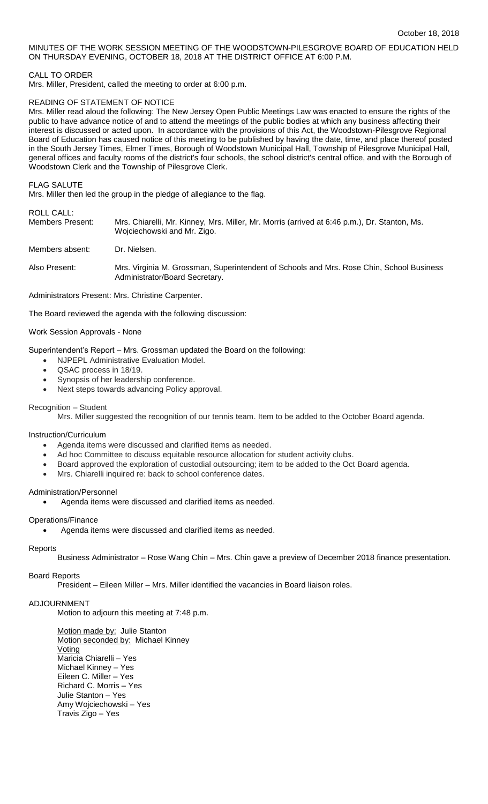MINUTES OF THE WORK SESSION MEETING OF THE WOODSTOWN-PILESGROVE BOARD OF EDUCATION HELD ON THURSDAY EVENING, OCTOBER 18, 2018 AT THE DISTRICT OFFICE AT 6:00 P.M.

# CALL TO ORDER

Mrs. Miller, President, called the meeting to order at 6:00 p.m.

### READING OF STATEMENT OF NOTICE

Mrs. Miller read aloud the following: The New Jersey Open Public Meetings Law was enacted to ensure the rights of the public to have advance notice of and to attend the meetings of the public bodies at which any business affecting their interest is discussed or acted upon. In accordance with the provisions of this Act, the Woodstown-Pilesgrove Regional Board of Education has caused notice of this meeting to be published by having the date, time, and place thereof posted in the South Jersey Times, Elmer Times, Borough of Woodstown Municipal Hall, Township of Pilesgrove Municipal Hall, general offices and faculty rooms of the district's four schools, the school district's central office, and with the Borough of Woodstown Clerk and the Township of Pilesgrove Clerk.

FLAG SALUTE

Mrs. Miller then led the group in the pledge of allegiance to the flag.

# ROLL CALL:

| Members Present: | Mrs. Chiarelli, Mr. Kinney, Mrs. Miller, Mr. Morris (arrived at 6:46 p.m.), Dr. Stanton, Ms.<br>Wojciechowski and Mr. Zigo. |
|------------------|-----------------------------------------------------------------------------------------------------------------------------|
| Members absent:  | Dr. Nielsen.                                                                                                                |
| Also Present:    | Mrs. Virginia M. Grossman, Superintendent of Schools and Mrs. Rose Chin, School Business                                    |

Administrators Present: Mrs. Christine Carpenter.

The Board reviewed the agenda with the following discussion:

### Work Session Approvals - None

Superintendent's Report – Mrs. Grossman updated the Board on the following:

Administrator/Board Secretary.

- NJPEPL Administrative Evaluation Model.
- QSAC process in 18/19.
- Synopsis of her leadership conference.
- Next steps towards advancing Policy approval.

### Recognition – Student

Mrs. Miller suggested the recognition of our tennis team. Item to be added to the October Board agenda.

# Instruction/Curriculum

- Agenda items were discussed and clarified items as needed.
- Ad hoc Committee to discuss equitable resource allocation for student activity clubs.
- Board approved the exploration of custodial outsourcing; item to be added to the Oct Board agenda.
- Mrs. Chiarelli inquired re: back to school conference dates.

#### Administration/Personnel

Agenda items were discussed and clarified items as needed.

# Operations/Finance

Agenda items were discussed and clarified items as needed.

#### **Reports**

Business Administrator – Rose Wang Chin – Mrs. Chin gave a preview of December 2018 finance presentation.

### Board Reports

President – Eileen Miller – Mrs. Miller identified the vacancies in Board liaison roles.

### ADJOURNMENT

Motion to adjourn this meeting at 7:48 p.m.

Motion made by: Julie Stanton Motion seconded by: Michael Kinney Voting Maricia Chiarelli – Yes Michael Kinney – Yes Eileen C. Miller – Yes Richard C. Morris – Yes Julie Stanton – Yes Amy Wojciechowski – Yes Travis Zigo – Yes